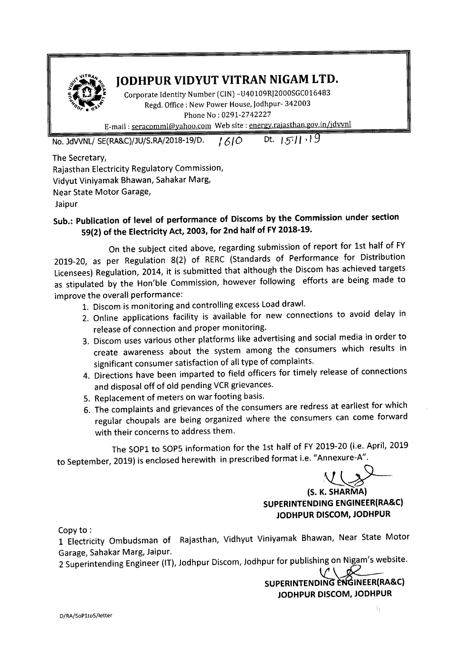

## JODHPUR VIDYUT VITRAN NIGAM LTD.

Corporate Identity Number (CIN)-U40109RJ2000SGC016483 Regd. Office: New Power House, Jodhpur- 342003 Phone No : 0291-2742227

E-mail: seracomml@yahoo.com Web site: energy.rajasthan.gov.in/jdvvnl

No. JdWNL/ SE(RA&C)/JU/S.RA/2018-19/D. */610* Dt. **1511.19** 

The Secretary,

Rajasthan Electricity Regulatory Commission, Vidyut Viniyamak Bhawan, Sahakar Marg,

Near State Motor Garage,

Jaipur

## Sub.: Publication of level of performance of Discoms by the Commission under section 59(2) of the Electricity Act, 2003, for 2nd half of FY2018-19.

On the subject cited above, regarding submission of report for 1st half of FY 2019-20, as per Regulation 8(2} of RERC (Standards of Performance for Distribution Licensees) Regulation, 2014, it is submitted that although the Discom has achieved targets as stipulated by the Hon'ble Commission, however following efforts are being made to improve the overall performance:

- 1. Discom is monitoring and controlling excess Load drawl.
- 2. Online applications facility is available for new connections to avoid delay in release of connection and proper monitoring.
- 3. Discom uses various other platforms like advertising and social media in order to create awareness about the system among the consumers which results in significant consumer satisfaction of all type of complaints.
- 4. Directions have been imparted to field officers for timely release of connections and disposal off of old pending VCR grievances.
- 5. Replacement of meters on war footing basis.
- 6. The complaints and grievances of the consumers are redress at earliest for which regular choupals are being organized where the consumers can come forward with their concerns to address them.

The SOP1 to SOPS information for the 1st half of FY 2019-20 (i.e. April, 2019 to September, 2019) is enclosed herewith in prescribed format i.e. "Annexure-A".

*\l\_\_~~*

(S. K. SHARMA) SUPERINTENDING ENGINEER(RA&C) JODHPUR DISCOM, JODHPUR

Copy to:

1 Electricity Ombudsman of Rajasthan, Vidhyut Viniyamak Bhawan, Near State Motor Garage, Sahakar Marg, Jaipur.

2 Superintending Engineer (IT), Jodhpur Discom, Jodhpur for publishing on Nigam's website.

SUPERINTENDING ENGINEER(RA&C) JODHPUR DISCOM, JODHPUR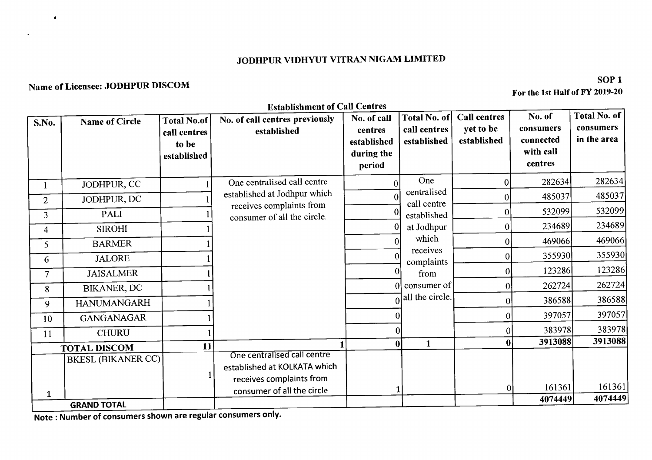## JODHPUR VIDHYUT VITRAN NIGAM LIMITED

## Name of Licensee: JODHPUR DISCOM

 $\bullet$ 

 $SOP1$ For the 1st Half of FY 2019-20

|                |                       |                                                            | <b>Establishment of Call Centres</b>                                                                                  |                                                               |                                                    |                                                 |                                                          |                                          |
|----------------|-----------------------|------------------------------------------------------------|-----------------------------------------------------------------------------------------------------------------------|---------------------------------------------------------------|----------------------------------------------------|-------------------------------------------------|----------------------------------------------------------|------------------------------------------|
| S.No.          | <b>Name of Circle</b> | <b>Total No.of</b><br>call centres<br>to be<br>established | No. of call centres previously<br>established                                                                         | No. of call<br>centres<br>established<br>during the<br>period | <b>Total No. of</b><br>call centres<br>established | <b>Call centres</b><br>yet to be<br>established | No. of<br>consumers<br>connected<br>with call<br>centres | Total No. of<br>consumers<br>in the area |
|                | JODHPUR, CC           |                                                            | One centralised call centre                                                                                           |                                                               | One                                                | $\vert 0 \vert$                                 | 282634                                                   | 282634                                   |
| $\overline{2}$ | JODHPUR, DC           |                                                            | established at Jodhpur which                                                                                          |                                                               | centralised                                        |                                                 | 485037                                                   | 485037                                   |
| $\overline{3}$ | PALI                  |                                                            | receives complaints from<br>consumer of all the circle.                                                               |                                                               | call centre<br>established<br>at Jodhpur           |                                                 | 532099                                                   | 532099                                   |
| 4              | <b>SIROHI</b>         |                                                            |                                                                                                                       |                                                               |                                                    | 0                                               | 234689                                                   | 234689                                   |
| 5              | <b>BARMER</b>         |                                                            |                                                                                                                       | 0                                                             | which                                              | 0                                               | 469066                                                   | 469066                                   |
| 6              | <b>JALORE</b>         |                                                            |                                                                                                                       |                                                               | receives<br>complaints                             | 0                                               | 355930                                                   | 355930                                   |
| $\overline{7}$ | <b>JAISALMER</b>      |                                                            |                                                                                                                       |                                                               | from                                               | $\overline{0}$                                  | 123286                                                   | 123286                                   |
| 8              | <b>BIKANER, DC</b>    |                                                            |                                                                                                                       |                                                               | 0 consumer of                                      | 0 <sup>1</sup>                                  | 262724                                                   | 262724                                   |
| 9              | <b>HANUMANGARH</b>    |                                                            |                                                                                                                       |                                                               | $\Omega$ all the circle.                           | $\overline{0}$                                  | 386588                                                   | 386588                                   |
| 10             | <b>GANGANAGAR</b>     |                                                            |                                                                                                                       |                                                               |                                                    | $\vert 0 \vert$                                 | 397057                                                   | 397057                                   |
| 11             | <b>CHURU</b>          |                                                            |                                                                                                                       |                                                               |                                                    | 0                                               | 383978                                                   | 383978                                   |
|                | <b>TOTAL DISCOM</b>   | 11                                                         |                                                                                                                       | $\bf{0}$                                                      | $\mathbf{1}$                                       | 0                                               | 3913088                                                  | 3913088                                  |
| $\mathbf{1}$   | BKESL (BIKANER CC)    |                                                            | One centralised call centre<br>established at KOLKATA which<br>receives complaints from<br>consumer of all the circle |                                                               |                                                    | 0                                               | 161361<br>4074449                                        | 161361<br>4074449                        |
|                | <b>GRAND TOTAL</b>    |                                                            |                                                                                                                       |                                                               |                                                    |                                                 |                                                          |                                          |

Note : Number of consumers shown are regular consumers only.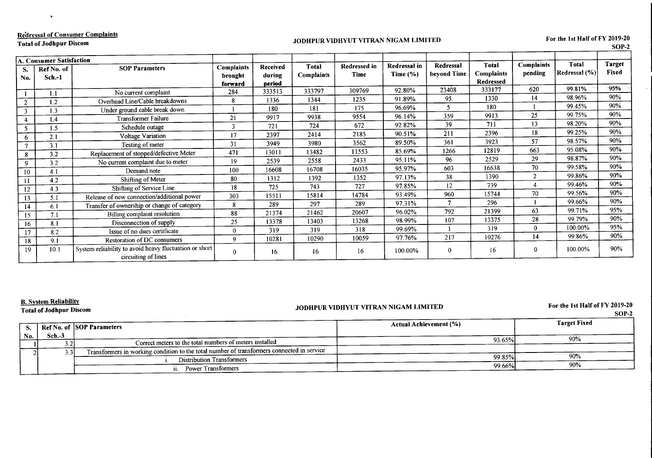| <b>Redressal of Consumer Complaints</b> |  |
|-----------------------------------------|--|
|-----------------------------------------|--|

**Total of Jodhpur Discom** 

 $\bullet$ 

#### JODHPUR VIDHYUT VITRAN NIGAM LIMITED

For the 1st Half of FY 2019-20

 $\sim$ 

|                | A. Consumer Satisfaction |                                                                               |                                         |                              |                     |                      |                              |                          |                                                |                              |                            |                        |
|----------------|--------------------------|-------------------------------------------------------------------------------|-----------------------------------------|------------------------------|---------------------|----------------------|------------------------------|--------------------------|------------------------------------------------|------------------------------|----------------------------|------------------------|
| S.<br>No.      | Ref No. of<br>$Sch.-1$   | <b>SOP Parameters</b>                                                         | <b>Complaints</b><br>brought<br>forward | Received<br>during<br>period | Total<br>Complaints | Redressed in<br>Time | Redressal in<br>Time $(\% )$ | Redressal<br>beyond Time | <b>Total</b><br><b>Complaints</b><br>Redressed | <b>Complaints</b><br>pending | Total<br>Redressal $(\% )$ | <b>Target</b><br>Fixed |
|                | 1.1                      | No current complaint                                                          | 284                                     | 333513                       | 333797              | 309769               | 92.80%                       | 23408                    | 333177                                         | 620                          | 99.81%                     | 95%                    |
| $\overline{2}$ | 1.2                      | Overhead Line/Cable breakdowns                                                | 8                                       | 1336                         | 1344                | 1235                 | 91.89%                       | 95                       | 1330                                           | 14                           | 98.96%                     | 90%                    |
| $\mathbf{3}$   | 1.3                      | Under ground cable break down                                                 |                                         | 180                          | 181                 | 175                  | 96.69%                       |                          | 180                                            |                              | 99.45%                     | 90%                    |
|                | 1.4                      | <b>Transformer Failure</b>                                                    | 21                                      | 9917                         | 9938                | 9554                 | 96.14%                       | 359                      | 9913                                           | 25                           | 99.75%                     | 90%                    |
|                | 1.5                      | Schedule outage                                                               | 3                                       | 721                          | 724                 | 672                  | 92.82%                       | 39                       | 711                                            | 13                           | 98.20%                     | 90%                    |
| 6              | 2.1                      | Voltage Variation                                                             | 17                                      | 2397                         | 2414                | 2185                 | 90.51%                       | 211                      | 2396                                           | 18                           | 99.25%                     | 90%                    |
| $\tau$         | 3.1                      | Testing of meter                                                              | 31                                      | 3949                         | 3980                | 3562                 | 89.50%                       | 361                      | 3923                                           | 57                           | 98.57%                     | 90%                    |
| 8              | 3.2                      | Replacement of stopped/defective Meter                                        | 471                                     | 13011                        | 13482               | 11553                | 85.69%                       | 1266                     | 12819                                          | 663                          | 95.08%                     | 90%                    |
| 9              | 3.2                      | No current complaint due to meter                                             | 19                                      | 2539                         | 2558                | 2433                 | 95.11%                       | 96                       | 2529                                           | 29                           | 98.87%                     | 90%                    |
| 10             | 4.1                      | Demand note                                                                   | 100                                     | 16608                        | 16708               | 16035                | 95.97%                       | 603                      | 16638                                          | 70                           | 99.58%                     | 90%                    |
| -11            | 4.2                      | Shifting of Meter                                                             | 80                                      | 1312                         | 1392                | 1352                 | 97.13%                       | 38                       | 1390                                           | $\mathcal{D}$                | 99.86%                     | 90%                    |
| 12             | 4.3                      | Shifting of Service Line                                                      | 18                                      | 725                          | 743                 | 727                  | 97.85%                       | 12                       | 739                                            |                              | 99.46%                     | 90%                    |
| 13             | 5.1                      | Release of new connection/additional power                                    | 303                                     | 15511                        | 15814               | 14784                | 93.49%                       | 960                      | 15744                                          | 70                           | 99.56%                     | 90%                    |
| 14             | 6.1                      | Transfer of ownership or change of category                                   | 8                                       | 289                          | 297                 | 289                  | 97.31%                       | 7                        | 296                                            |                              | 99.66%                     | 90%                    |
| 15             | 7.1                      | Billing complaint resolution                                                  | 88                                      | 21374                        | 21462               | 20607                | 96.02%                       | 792                      | 21399                                          | 63                           | 99.71%                     | 95%                    |
| 16             | 8.1                      | Disconnection of supply                                                       | 25                                      | 13378                        | 13403               | 13268                | 98.99%                       | 107                      | 13375                                          | 28                           | 99.79%                     | 90%                    |
| 17             | 8.2                      | Issue of no dues certificate                                                  | $\Omega$                                | 319                          | 319                 | 318                  | 99.69%                       |                          | 319                                            | $\theta$                     | 100.00%                    | 95%                    |
| 18             | 9.1                      | Restoration of DC consumers                                                   | 9                                       | 10281                        | 10290               | 10059                | 97.76%                       | 217                      | 10276                                          | 14                           | 99.86%                     | 90%                    |
| 19             | 10.1                     | System reliability to avoid heavy fluctuation or short<br>circuiting of lines | $\bf{0}$                                | 16                           | 16                  | 16                   | 100.00%                      | $\Omega$                 | 16                                             | 0                            | 100.00%                    | 90%                    |

#### **B. System Reliability**

**Total of Jodhpur Discom** 

#### JODHPUR VIDHYUT VITRAN NIGAM LIMITED

For the 1st Half of FY 2019-20

|       | SOP-2 |
|-------|-------|
| Fixed |       |

|     |          | Ref No. of SOP Parameters                                                                  | Actual Achievement (%) | <b>Target Fixed</b> |
|-----|----------|--------------------------------------------------------------------------------------------|------------------------|---------------------|
| No. | $Sch.-3$ | Correct meters to the total numbers of meters installed                                    | 93.65%                 | 90%                 |
|     |          | Transformers in working condition to the total number of transformers connected in service |                        |                     |
|     |          | Distribution Transformers                                                                  | 99.85%                 | 90%                 |
|     |          | <b>Power Transformers</b>                                                                  | 99.66%                 | 90%                 |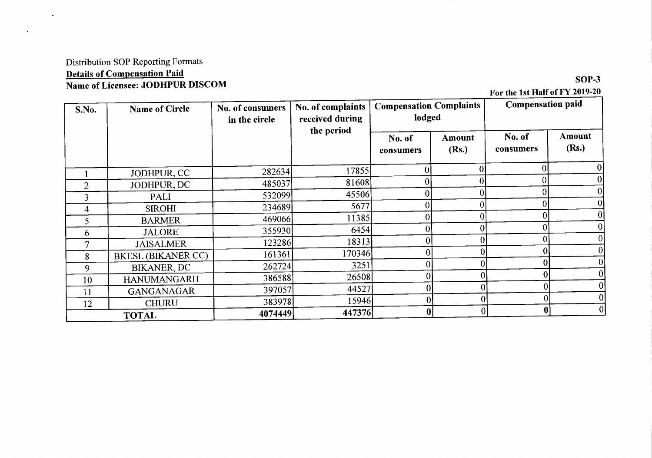### Distribution SOP Reporting Formats Details of Compensation Paid Name of Licensee: JODHPUR DISCOM

 $\ddot{\phantom{a}}$ 

For the 1st Half of FY 2019-20

| S.No.          | <b>Name of Circle</b>     | No. of consumers<br>in the circle | No. of complaints<br>received during | <b>Compensation Complaints</b><br>lodged |                 | <b>Compensation paid</b> |                  |
|----------------|---------------------------|-----------------------------------|--------------------------------------|------------------------------------------|-----------------|--------------------------|------------------|
|                |                           |                                   | the period                           | No. of<br>consumers                      | Amount<br>(Rs.) | No. of<br>consumers      | Amount<br>(Rs.)  |
|                | JODHPUR, CC               | 282634                            | 17855                                | 0                                        |                 |                          | $\boldsymbol{0}$ |
| $\overline{2}$ | JODHPUR, DC               | 485037                            | 81608                                |                                          |                 |                          | $\mathbf{0}$     |
| 3              | <b>PALI</b>               | 532099                            | 45506                                |                                          |                 |                          | $\bf{0}$         |
| 4              | <b>SIROHI</b>             | 234689                            | 5677                                 | ΩI                                       |                 |                          | $\boldsymbol{0}$ |
| 5              | <b>BARMER</b>             | 469066                            | 11385                                |                                          |                 |                          | $\bf{0}$         |
| <sub>0</sub>   | <b>JALORE</b>             | 355930                            | 6454                                 |                                          | 0               |                          | $\boldsymbol{0}$ |
|                | <b>JAISALMER</b>          | 123286                            | 18313                                |                                          | 0               |                          | $\theta$         |
| 8              | <b>BKESL (BIKANER CC)</b> | 161361                            | 170346                               |                                          | 0               |                          |                  |
| 9              | <b>BIKANER, DC</b>        | 262724                            | 3251                                 | 0                                        |                 |                          |                  |
| 10             | <b>HANUMANGARH</b>        | 386588                            | 26508                                | $\mathbf{0}$                             |                 |                          |                  |
| 11             | <b>GANGANAGAR</b>         | 397057                            | 44527                                | $\mathbf{0}$                             |                 |                          |                  |
| 12             | <b>CHURU</b>              | 383978                            | 15946                                | $\boldsymbol{0}$                         | $\overline{0}$  |                          |                  |
|                | <b>TOTAL</b>              | 4074449                           | 447376                               | $\bf{0}$                                 | $\mathbf{0}$    |                          |                  |

 $SOP-3$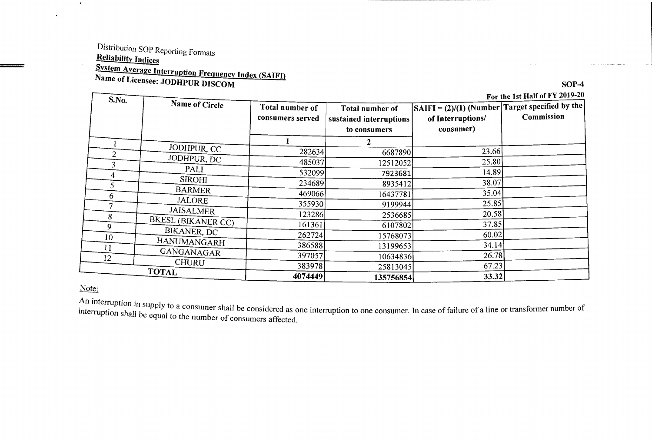# Distribution SOP Reporting Formats **Reliability Indices System Average Interruption Frequency Index (SAIFI)**<br>Name of Licensee: JODHPUR DISCOM

For the 1st Half of FY 2019-20

| S.No. | Name of Circle            | Total number of<br>consumers served | Total number of<br>sustained interruptions<br>to consumers | $ SAIFI = (2)/(1)$ (Number Target specified by the<br>of Interruptions/<br>consumer) | For the 1st Half of FY 2019-20<br>Commission |
|-------|---------------------------|-------------------------------------|------------------------------------------------------------|--------------------------------------------------------------------------------------|----------------------------------------------|
|       |                           |                                     |                                                            |                                                                                      |                                              |
|       | JODHPUR, CC               | 282634                              | 6687890                                                    | 23.66                                                                                |                                              |
|       | JODHPUR, DC               | 485037                              | 12512052                                                   | 25.80                                                                                |                                              |
| 4     | PALI                      | 532099                              | 7923681                                                    | 14.89                                                                                |                                              |
|       | <b>SIROHI</b>             | 234689                              | 8935412                                                    | 38.07                                                                                |                                              |
| 6     | <b>BARMER</b>             | 469066                              | 16437781                                                   | 35.04                                                                                |                                              |
|       | <b>JALORE</b>             | 355930                              | 9199944                                                    | 25.85                                                                                |                                              |
| 8     | <b>JAISALMER</b>          | 123286                              | 2536685                                                    | 20.58                                                                                |                                              |
| 9     | <b>BKESL (BIKANER CC)</b> | 161361                              | 6107802                                                    | 37.85                                                                                |                                              |
| 10    | BIKANER, DC               | 262724                              | 15768073                                                   | 60.02                                                                                |                                              |
|       | HANUMANGARH               | 386588                              | 13199653                                                   | 34.14                                                                                |                                              |
| 11    | GANGANAGAR                | 397057                              | 10634836                                                   | 26.78                                                                                |                                              |
| 12    | <b>CHURU</b>              | 383978                              | 25813045                                                   | 67.23                                                                                |                                              |
|       | <b>TOTAL</b>              | 4074449                             | 135756854                                                  | 33.32                                                                                |                                              |

#### Note:

 $\star$ 

 $\ddot{\phantom{a}}$ 

An interruption in supply to a consumer shall be considered as one interruption to one consumer. In case of failure of a line or transformer number of interruption shall i interruption shall be equal to the number of consumers affected.